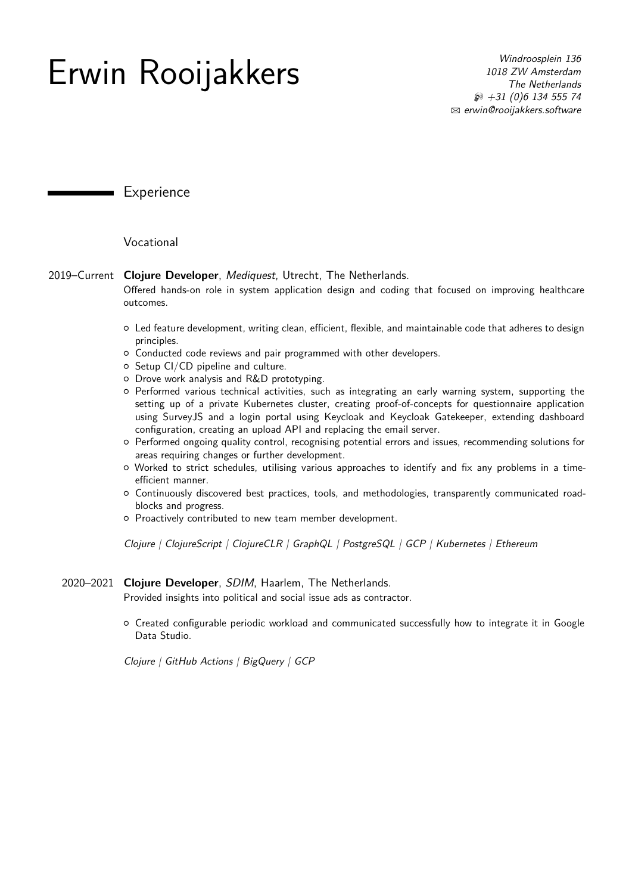# **Erwin Rooijakkers** *Windroosplein 136*<br>*IO18 ZW Amsterdam*

*1018 ZW Amsterdam The Netherlands* H *+31 (0)6 134 555 74* B *erwin@rooijakkers.software*

Experience

Vocational

# 2019–Current **Clojure Developer**, *Mediquest*, Utrecht, The Netherlands.

Offered hands-on role in system application design and coding that focused on improving healthcare outcomes.

- { Led feature development, writing clean, efficient, flexible, and maintainable code that adheres to design principles.
- $\circ$  Conducted code reviews and pair programmed with other developers.
- $\circ$  Setup CI/CD pipeline and culture.
- { Drove work analysis and R&D prototyping.
- { Performed various technical activities, such as integrating an early warning system, supporting the setting up of a private Kubernetes cluster, creating proof-of-concepts for questionnaire application using SurveyJS and a login portal using Keycloak and Keycloak Gatekeeper, extending dashboard configuration, creating an upload API and replacing the email server.
- { Performed ongoing quality control, recognising potential errors and issues, recommending solutions for areas requiring changes or further development.
- { Worked to strict schedules, utilising various approaches to identify and fix any problems in a timeefficient manner.
- { Continuously discovered best practices, tools, and methodologies, transparently communicated roadblocks and progress.
- { Proactively contributed to new team member development.

*Clojure | ClojureScript | ClojureCLR | GraphQL | PostgreSQL | GCP | Kubernetes | Ethereum*

# 2020–2021 **Clojure Developer**, *SDIM*, Haarlem, The Netherlands.

Provided insights into political and social issue ads as contractor.

 $\circ$  Created configurable periodic workload and communicated successfully how to integrate it in Google Data Studio.

*Clojure | GitHub Actions | BigQuery | GCP*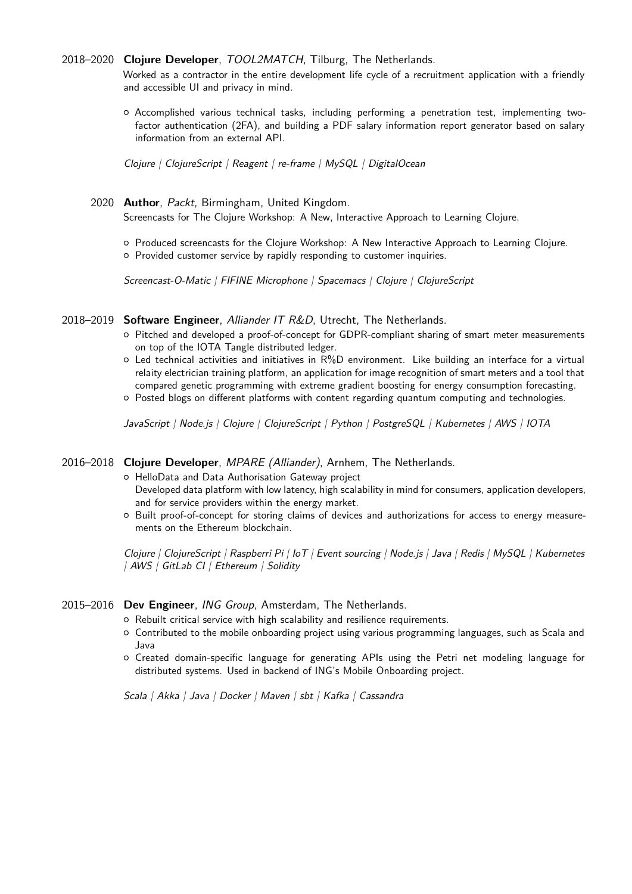#### 2018–2020 **Clojure Developer**, *TOOL2MATCH*, Tilburg, The Netherlands.

Worked as a contractor in the entire development life cycle of a recruitment application with a friendly and accessible UI and privacy in mind.

{ Accomplished various technical tasks, including performing a penetration test, implementing twofactor authentication (2FA), and building a PDF salary information report generator based on salary information from an external API.

*Clojure | ClojureScript | Reagent | re-frame | MySQL | DigitalOcean*

#### 2020 **Author**, *Packt*, Birmingham, United Kingdom.

Screencasts for The Clojure Workshop: A New, Interactive Approach to Learning Clojure.

{ Produced screencasts for the Clojure Workshop: A New Interactive Approach to Learning Clojure.

{ Provided customer service by rapidly responding to customer inquiries.

*Screencast-O-Matic | FIFINE Microphone | Spacemacs | Clojure | ClojureScript*

# 2018–2019 **Software Engineer**, *Alliander IT R&D*, Utrecht, The Netherlands.

- { Pitched and developed a proof-of-concept for GDPR-compliant sharing of smart meter measurements on top of the IOTA Tangle distributed ledger.
- $\circ$  Led technical activities and initiatives in R%D environment. Like building an interface for a virtual relaity electrician training platform, an application for image recognition of smart meters and a tool that compared genetic programming with extreme gradient boosting for energy consumption forecasting.
- { Posted blogs on different platforms with content regarding quantum computing and technologies.

*JavaScript | Node.js | Clojure | ClojureScript | Python | PostgreSQL | Kubernetes | AWS | IOTA*

# 2016–2018 **Clojure Developer**, *MPARE (Alliander)*, Arnhem, The Netherlands.

{ HelloData and Data Authorisation Gateway project Developed data platform with low latency, high scalability in mind for consumers, application developers, and for service providers within the energy market.

{ Built proof-of-concept for storing claims of devices and authorizations for access to energy measurements on the Ethereum blockchain.

*Clojure | ClojureScript | Raspberri Pi | IoT | Event sourcing | Node.js | Java | Redis | MySQL | Kubernetes | AWS | GitLab CI | Ethereum | Solidity*

#### 2015–2016 **Dev Engineer**, *ING Group*, Amsterdam, The Netherlands.

- { Rebuilt critical service with high scalability and resilience requirements.
- { Contributed to the mobile onboarding project using various programming languages, such as Scala and Java
- { Created domain-specific language for generating APIs using the Petri net modeling language for distributed systems. Used in backend of ING's Mobile Onboarding project.

*Scala | Akka | Java | Docker | Maven | sbt | Kafka | Cassandra*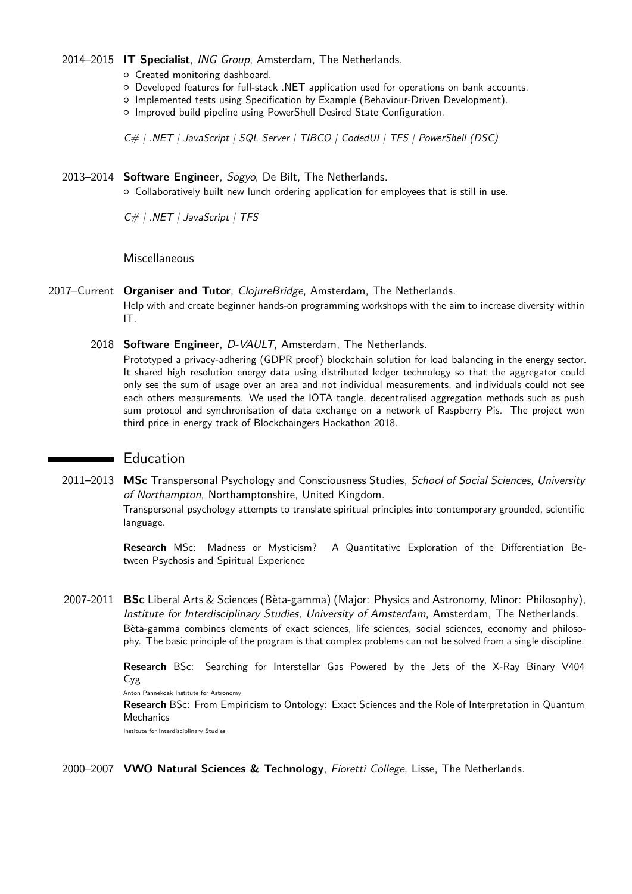#### 2014–2015 **IT Specialist**, *ING Group*, Amsterdam, The Netherlands.

- { Created monitoring dashboard.
- { Developed features for full-stack .NET application used for operations on bank accounts.
- { Implemented tests using Specification by Example (Behaviour-Driven Development).
- { Improved build pipeline using PowerShell Desired State Configuration.

*C# | .NET | JavaScript | SQL Server | TIBCO | CodedUI | TFS | PowerShell (DSC)*

# 2013–2014 **Software Engineer**, *Sogyo*, De Bilt, The Netherlands.

{ Collaboratively built new lunch ordering application for employees that is still in use.

*C# | .NET | JavaScript | TFS*

**Miscellaneous** 

# 2017–Current **Organiser and Tutor**, *ClojureBridge*, Amsterdam, The Netherlands.

Help with and create beginner hands-on programming workshops with the aim to increase diversity within IT.

2018 **Software Engineer**, *D-VAULT*, Amsterdam, The Netherlands.

Prototyped a privacy-adhering (GDPR proof) blockchain solution for load balancing in the energy sector. It shared high resolution energy data using distributed ledger technology so that the aggregator could only see the sum of usage over an area and not individual measurements, and individuals could not see each others measurements. We used the IOTA tangle, decentralised aggregation methods such as push sum protocol and synchronisation of data exchange on a network of Raspberry Pis. The project won third price in energy track of Blockchaingers Hackathon 2018.

# Education

2011–2013 **MSc** Transpersonal Psychology and Consciousness Studies, *School of Social Sciences, University of Northampton*, Northamptonshire, United Kingdom. Transpersonal psychology attempts to translate spiritual principles into contemporary grounded, scientific language.

> **Research** MSc: Madness or Mysticism? A Quantitative Exploration of the Differentiation Between Psychosis and Spiritual Experience

2007-2011 **BSc** Liberal Arts & Sciences (Bèta-gamma) (Major: Physics and Astronomy, Minor: Philosophy), *Institute for Interdisciplinary Studies, University of Amsterdam*, Amsterdam, The Netherlands. Bèta-gamma combines elements of exact sciences, life sciences, social sciences, economy and philosophy. The basic principle of the program is that complex problems can not be solved from a single discipline.

> **Research** BSc: Searching for Interstellar Gas Powered by the Jets of the X-Ray Binary V404 Cyg

Anton Pannekoek Institute for Astronomy

**Research** BSc: From Empiricism to Ontology: Exact Sciences and the Role of Interpretation in Quantum Mechanics

Institute for Interdisciplinary Studies

2000–2007 **VWO Natural Sciences & Technology**, *Fioretti College*, Lisse, The Netherlands.